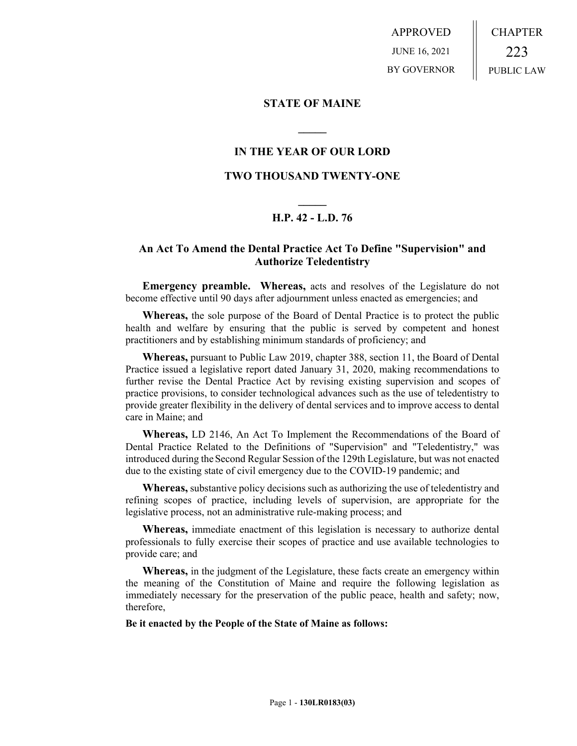APPROVED JUNE 16, 2021 BY GOVERNOR CHAPTER 223 PUBLIC LAW

## **STATE OF MAINE**

## **IN THE YEAR OF OUR LORD**

**\_\_\_\_\_**

## **TWO THOUSAND TWENTY-ONE**

# **\_\_\_\_\_ H.P. 42 - L.D. 76**

## **An Act To Amend the Dental Practice Act To Define "Supervision" and Authorize Teledentistry**

**Emergency preamble. Whereas,** acts and resolves of the Legislature do not become effective until 90 days after adjournment unless enacted as emergencies; and

**Whereas,** the sole purpose of the Board of Dental Practice is to protect the public health and welfare by ensuring that the public is served by competent and honest practitioners and by establishing minimum standards of proficiency; and

**Whereas,** pursuant to Public Law 2019, chapter 388, section 11, the Board of Dental Practice issued a legislative report dated January 31, 2020, making recommendations to further revise the Dental Practice Act by revising existing supervision and scopes of practice provisions, to consider technological advances such as the use of teledentistry to provide greater flexibility in the delivery of dental services and to improve access to dental care in Maine; and

**Whereas,** LD 2146, An Act To Implement the Recommendations of the Board of Dental Practice Related to the Definitions of "Supervision" and "Teledentistry," was introduced during the Second Regular Session of the 129th Legislature, but was not enacted due to the existing state of civil emergency due to the COVID-19 pandemic; and

**Whereas,** substantive policy decisions such as authorizing the use of teledentistry and refining scopes of practice, including levels of supervision, are appropriate for the legislative process, not an administrative rule-making process; and

**Whereas,** immediate enactment of this legislation is necessary to authorize dental professionals to fully exercise their scopes of practice and use available technologies to provide care; and

**Whereas,** in the judgment of the Legislature, these facts create an emergency within the meaning of the Constitution of Maine and require the following legislation as immediately necessary for the preservation of the public peace, health and safety; now, therefore,

**Be it enacted by the People of the State of Maine as follows:**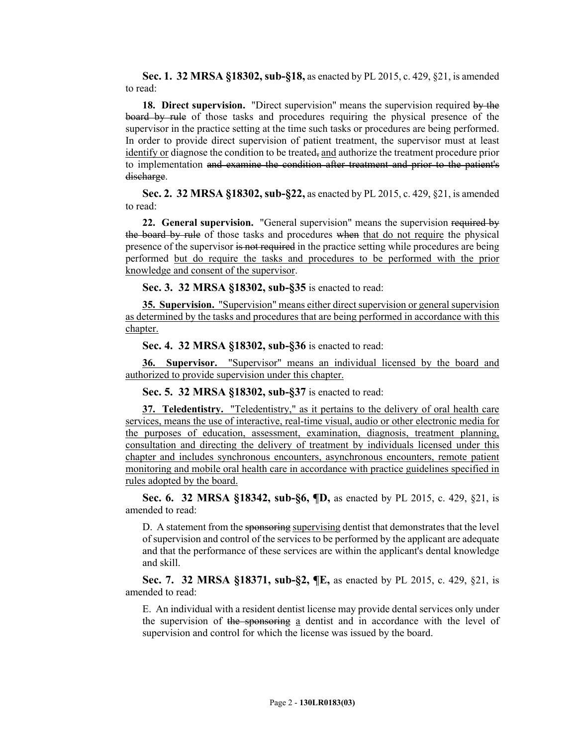**Sec. 1. 32 MRSA §18302, sub-§18,** as enacted by PL 2015, c. 429, §21, is amended to read:

**18. Direct supervision.** "Direct supervision" means the supervision required by the board by rule of those tasks and procedures requiring the physical presence of the supervisor in the practice setting at the time such tasks or procedures are being performed. In order to provide direct supervision of patient treatment, the supervisor must at least identify or diagnose the condition to be treated, and authorize the treatment procedure prior to implementation and examine the condition after treatment and prior to the patient's discharge.

**Sec. 2. 32 MRSA §18302, sub-§22,** as enacted by PL 2015, c. 429, §21, is amended to read:

**22. General supervision.** "General supervision" means the supervision required by the board by rule of those tasks and procedures when that do not require the physical presence of the supervisor is not required in the practice setting while procedures are being performed but do require the tasks and procedures to be performed with the prior knowledge and consent of the supervisor.

**Sec. 3. 32 MRSA §18302, sub-§35** is enacted to read:

**35. Supervision.** "Supervision" means either direct supervision or general supervision as determined by the tasks and procedures that are being performed in accordance with this chapter.

**Sec. 4. 32 MRSA §18302, sub-§36** is enacted to read:

**36. Supervisor.** "Supervisor" means an individual licensed by the board and authorized to provide supervision under this chapter.

**Sec. 5. 32 MRSA §18302, sub-§37** is enacted to read:

**37. Teledentistry.** "Teledentistry," as it pertains to the delivery of oral health care services, means the use of interactive, real-time visual, audio or other electronic media for the purposes of education, assessment, examination, diagnosis, treatment planning, consultation and directing the delivery of treatment by individuals licensed under this chapter and includes synchronous encounters, asynchronous encounters, remote patient monitoring and mobile oral health care in accordance with practice guidelines specified in rules adopted by the board.

**Sec. 6. 32 MRSA §18342, sub-§6, ¶D,** as enacted by PL 2015, c. 429, §21, is amended to read:

D. A statement from the sponsoring supervising dentist that demonstrates that the level of supervision and control of the services to be performed by the applicant are adequate and that the performance of these services are within the applicant's dental knowledge and skill.

**Sec. 7. 32 MRSA §18371, sub-§2, ¶E,** as enacted by PL 2015, c. 429, §21, is amended to read:

E. An individual with a resident dentist license may provide dental services only under the supervision of the sponsoring a dentist and in accordance with the level of supervision and control for which the license was issued by the board.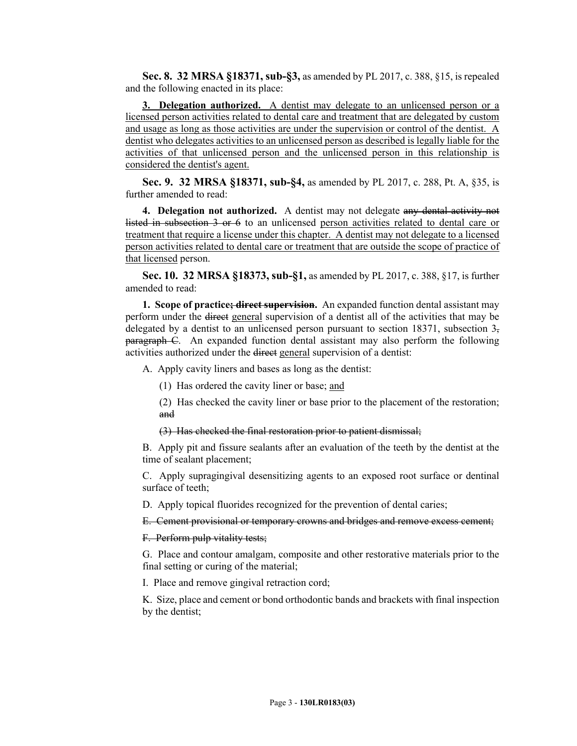**Sec. 8. 32 MRSA §18371, sub-§3,** as amended by PL 2017, c. 388, §15, is repealed and the following enacted in its place:

**3. Delegation authorized.** A dentist may delegate to an unlicensed person or a licensed person activities related to dental care and treatment that are delegated by custom and usage as long as those activities are under the supervision or control of the dentist. A dentist who delegates activities to an unlicensed person as described is legally liable for the activities of that unlicensed person and the unlicensed person in this relationship is considered the dentist's agent.

**Sec. 9. 32 MRSA §18371, sub-§4,** as amended by PL 2017, c. 288, Pt. A, §35, is further amended to read:

**4. Delegation not authorized.** A dentist may not delegate any dental activity not listed in subsection 3 or 6 to an unlicensed person activities related to dental care or treatment that require a license under this chapter. A dentist may not delegate to a licensed person activities related to dental care or treatment that are outside the scope of practice of that licensed person.

**Sec. 10. 32 MRSA §18373, sub-§1,** as amended by PL 2017, c. 388, §17, is further amended to read:

**1. Scope of practice; direct supervision.** An expanded function dental assistant may perform under the direct general supervision of a dentist all of the activities that may be delegated by a dentist to an unlicensed person pursuant to section 18371, subsection  $3\frac{1}{2}$ paragraph C. An expanded function dental assistant may also perform the following activities authorized under the direct general supervision of a dentist:

A. Apply cavity liners and bases as long as the dentist:

(1) Has ordered the cavity liner or base; and

(2) Has checked the cavity liner or base prior to the placement of the restoration; and

(3) Has checked the final restoration prior to patient dismissal;

B. Apply pit and fissure sealants after an evaluation of the teeth by the dentist at the time of sealant placement;

C. Apply supragingival desensitizing agents to an exposed root surface or dentinal surface of teeth;

D. Apply topical fluorides recognized for the prevention of dental caries;

E. Cement provisional or temporary crowns and bridges and remove excess cement;

F. Perform pulp vitality tests;

G. Place and contour amalgam, composite and other restorative materials prior to the final setting or curing of the material;

I. Place and remove gingival retraction cord;

K. Size, place and cement or bond orthodontic bands and brackets with final inspection by the dentist;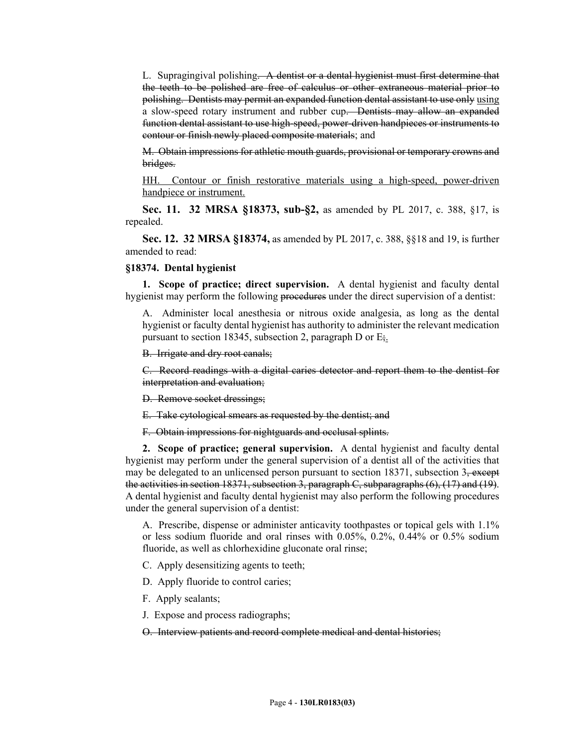L. Supragingival polishing. A dentist or a dental hygienist must first determine that the teeth to be polished are free of calculus or other extraneous material prior to polishing. Dentists may permit an expanded function dental assistant to use only using a slow-speed rotary instrument and rubber cup. Dentists may allow an expanded function dental assistant to use high-speed, power-driven handpieces or instruments to contour or finish newly placed composite materials; and

M. Obtain impressions for athletic mouth guards, provisional or temporary crowns and bridges.

HH. Contour or finish restorative materials using a high-speed, power-driven handpiece or instrument.

**Sec. 11. 32 MRSA §18373, sub-§2,** as amended by PL 2017, c. 388, §17, is repealed.

**Sec. 12. 32 MRSA §18374,** as amended by PL 2017, c. 388, §§18 and 19, is further amended to read:

#### **§18374. Dental hygienist**

**1. Scope of practice; direct supervision.** A dental hygienist and faculty dental hygienist may perform the following procedures under the direct supervision of a dentist:

A. Administer local anesthesia or nitrous oxide analgesia, as long as the dental hygienist or faculty dental hygienist has authority to administer the relevant medication pursuant to section 18345, subsection 2, paragraph D or  $E_{\frac{1}{2}}$ .

B. Irrigate and dry root canals;

C. Record readings with a digital caries detector and report them to the dentist for interpretation and evaluation;

D. Remove socket dressings;

E. Take cytological smears as requested by the dentist; and

F. Obtain impressions for nightguards and occlusal splints.

**2. Scope of practice; general supervision.** A dental hygienist and faculty dental hygienist may perform under the general supervision of a dentist all of the activities that may be delegated to an unlicensed person pursuant to section  $18371$ , subsection 3, except the activities in section 18371, subsection 3, paragraph  $C$ , subparagraphs  $(6)$ ,  $(17)$  and  $(19)$ . A dental hygienist and faculty dental hygienist may also perform the following procedures under the general supervision of a dentist:

A. Prescribe, dispense or administer anticavity toothpastes or topical gels with 1.1% or less sodium fluoride and oral rinses with 0.05%, 0.2%, 0.44% or 0.5% sodium fluoride, as well as chlorhexidine gluconate oral rinse;

C. Apply desensitizing agents to teeth;

D. Apply fluoride to control caries;

F. Apply sealants;

J. Expose and process radiographs;

O. Interview patients and record complete medical and dental histories;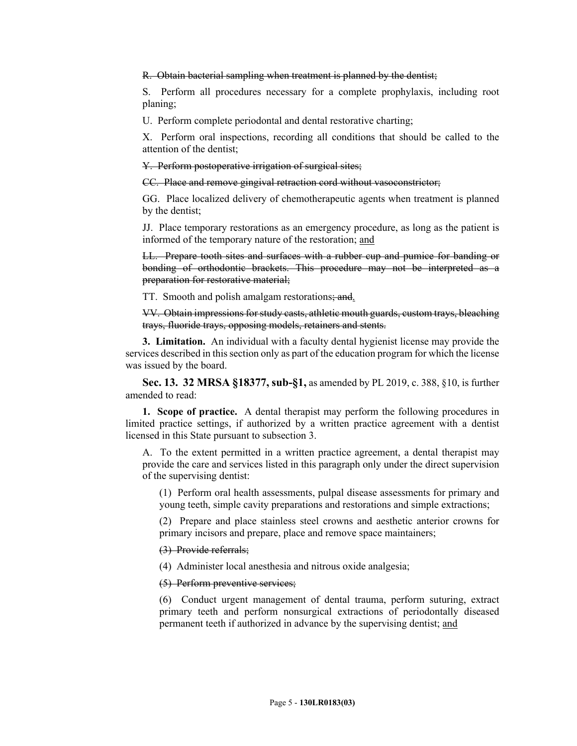R. Obtain bacterial sampling when treatment is planned by the dentist;

S. Perform all procedures necessary for a complete prophylaxis, including root planing;

U. Perform complete periodontal and dental restorative charting;

X. Perform oral inspections, recording all conditions that should be called to the attention of the dentist;

Y. Perform postoperative irrigation of surgical sites;

CC. Place and remove gingival retraction cord without vasoconstrictor;

GG. Place localized delivery of chemotherapeutic agents when treatment is planned by the dentist;

JJ. Place temporary restorations as an emergency procedure, as long as the patient is informed of the temporary nature of the restoration; and

LL. Prepare tooth sites and surfaces with a rubber cup and pumice for banding or bonding of orthodontic brackets. This procedure may not be interpreted as a preparation for restorative material;

TT. Smooth and polish amalgam restorations; and.

VV. Obtain impressions for study casts, athletic mouth guards, custom trays, bleaching trays, fluoride trays, opposing models, retainers and stents.

**3. Limitation.** An individual with a faculty dental hygienist license may provide the services described in this section only as part of the education program for which the license was issued by the board.

**Sec. 13. 32 MRSA §18377, sub-§1,** as amended by PL 2019, c. 388, §10, is further amended to read:

**1. Scope of practice.** A dental therapist may perform the following procedures in limited practice settings, if authorized by a written practice agreement with a dentist licensed in this State pursuant to subsection 3.

A. To the extent permitted in a written practice agreement, a dental therapist may provide the care and services listed in this paragraph only under the direct supervision of the supervising dentist:

(1) Perform oral health assessments, pulpal disease assessments for primary and young teeth, simple cavity preparations and restorations and simple extractions;

(2) Prepare and place stainless steel crowns and aesthetic anterior crowns for primary incisors and prepare, place and remove space maintainers;

(3) Provide referrals;

(4) Administer local anesthesia and nitrous oxide analgesia;

(5) Perform preventive services;

(6) Conduct urgent management of dental trauma, perform suturing, extract primary teeth and perform nonsurgical extractions of periodontally diseased permanent teeth if authorized in advance by the supervising dentist; and